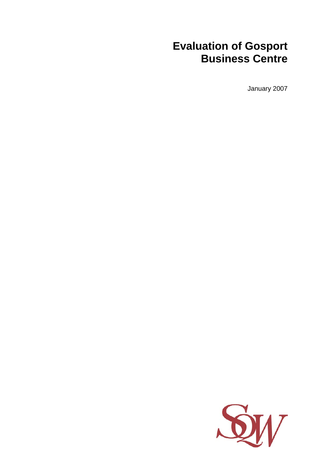# **Evaluation of Gosport Business Centre**

January 2007

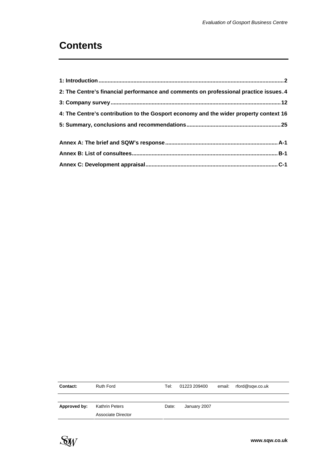# **Contents**

| 2: The Centre's financial performance and comments on professional practice issues. 4 |  |
|---------------------------------------------------------------------------------------|--|
|                                                                                       |  |
| 4: The Centre's contribution to the Gosport economy and the wider property context 16 |  |
|                                                                                       |  |
|                                                                                       |  |
|                                                                                       |  |
|                                                                                       |  |

| Contact:     | <b>Ruth Ford</b>   | Tel:  | 01223 209400 | email: rford@sqw.co.uk |  |
|--------------|--------------------|-------|--------------|------------------------|--|
|              |                    |       |              |                        |  |
| Approved by: | Kathrin Peters     | Date: | January 2007 |                        |  |
|              | Associate Director |       |              |                        |  |

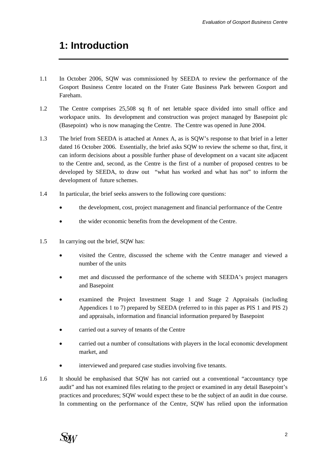# <span id="page-2-0"></span>**1: Introduction**

- 1.1 In October 2006, SQW was commissioned by SEEDA to review the performance of the Gosport Business Centre located on the Frater Gate Business Park between Gosport and Fareham.
- 1.2 The Centre comprises 25,508 sq ft of net lettable space divided into small office and workspace units. Its development and construction was project managed by Basepoint plc (Basepoint) who is now managing the Centre. The Centre was opened in June 2004.
- 1.3 The brief from SEEDA is attached at Annex A, as is SQW's response to that brief in a letter dated 16 October 2006. Essentially, the brief asks SQW to review the scheme so that, first, it can inform decisions about a possible further phase of development on a vacant site adjacent to the Centre and, second, as the Centre is the first of a number of proposed centres to be developed by SEEDA, to draw out "what has worked and what has not" to inform the development of future schemes.
- 1.4 In particular, the brief seeks answers to the following core questions:
	- the development, cost, project management and financial performance of the Centre
	- the wider economic benefits from the development of the Centre.
- 1.5 In carrying out the brief, SQW has:
	- visited the Centre, discussed the scheme with the Centre manager and viewed a number of the units
	- met and discussed the performance of the scheme with SEEDA's project managers and Basepoint
	- examined the Project Investment Stage 1 and Stage 2 Appraisals (including Appendices 1 to 7) prepared by SEEDA (referred to in this paper as PIS 1 and PIS 2) and appraisals, information and financial information prepared by Basepoint
	- carried out a survey of tenants of the Centre
	- carried out a number of consultations with players in the local economic development market, and
	- interviewed and prepared case studies involving five tenants.
- 1.6 It should be emphasised that SQW has not carried out a conventional "accountancy type audit" and has not examined files relating to the project or examined in any detail Basepoint's practices and procedures; SQW would expect these to be the subject of an audit in due course. In commenting on the performance of the Centre, SQW has relied upon the information

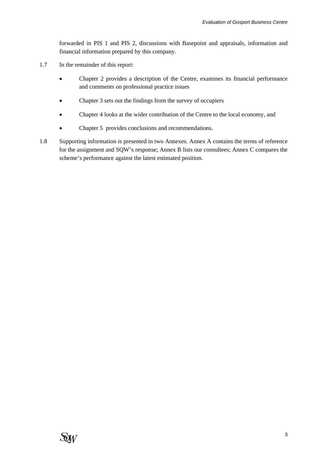forwarded in PIS 1 and PIS 2, discussions with Basepoint and appraisals, information and financial information prepared by this company.

- 1.7 In the remainder of this report:
	- Chapter 2 provides a description of the Centre, examines its financial performance and comments on professional practice issues
	- Chapter 3 sets out the findings from the survey of occupiers
	- Chapter 4 looks at the wider contribution of the Centre to the local economy, and
	- Chapter 5 provides conclusions and recommendations.
- 1.8 Supporting information is presented in two Annexes. Annex A contains the terms of reference for the assignment and SQW's response; Annex B lists our consultees; Annex C compares the scheme's performance against the latest estimated position.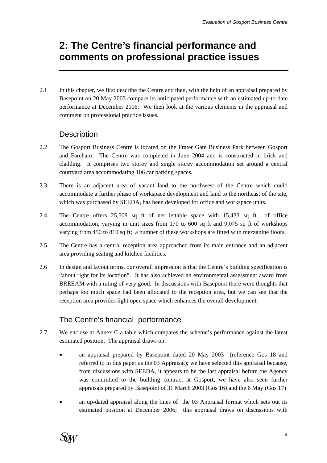# <span id="page-4-0"></span>**2: The Centre's financial performance and comments on professional practice issues**

2.1 In this chapter, we first describe the Centre and then, with the help of an appraisal prepared by Basepoint on 20 May 2003 compare its anticipated performance with an estimated up-to-date performance at December 2006. We then look at the various elements in the appraisal and comment on professional practice issues.

## **Description**

- 2.2 The Gosport Business Centre is located on the Frater Gate Business Park between Gosport and Fareham. The Centre was completed in June 2004 and is constructed in brick and cladding. It comprises two storey and single storey accommodation set around a central courtyard area accommodating 106 car parking spaces.
- 2.3 There is an adjacent area of vacant land to the northwest of the Centre which could accommodate a further phase of workspace development and land to the northeast of the site, which was purchased by SEEDA, has been developed for office and workspace units.
- 2.4 The Centre offers 25,508 sq ft of net lettable space with 15,433 sq ft of office accommodation, varying in unit sizes from 170 to 600 sq ft and 9,075 sq ft of workshops varying from 450 to 810 sq ft; a number of these workshops are fitted with mezzanine floors.
- 2.5 The Centre has a central reception area approached from its main entrance and an adjacent area providing seating and kitchen facilities.
- 2.6 In design and layout terms, our overall impression is that the Centre's building specification is "about right for its location". It has also achieved an environmental assessment award from BREEAM with a rating of very good. In discussions with Basepoint there were thoughts that perhaps too much space had been allocated to the reception area, but we can see that the reception area provides light open space which enhances the overall development.

# The Centre's financial performance

- 2.7 We enclose at Annex C a table which compares the scheme's performance against the latest estimated position. The appraisal draws on:
	- an appraisal prepared by Basepoint dated 20 May 2003 (reference Gos 18 and referred to in this paper as the 03 Appraisal); we have selected this appraisal because, from discussions with SEEDA, it appears to be the last appraisal before the Agency was committed to the building contract at Gosport; we have also seen further appraisals prepared by Basepoint of 31 March 2003 (Gos 16) and the 6 May (Gos 17)
	- an up-dated appraisal along the lines of the 03 Appraisal format which sets out its estimated position at December 2006; this appraisal draws on discussions with

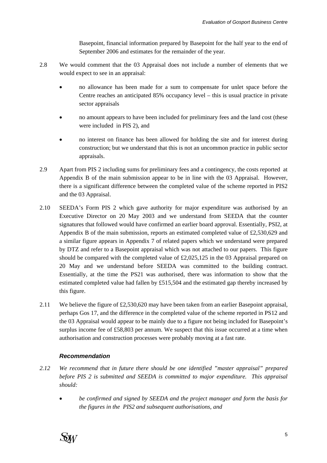Basepoint, financial information prepared by Basepoint for the half year to the end of September 2006 and estimates for the remainder of the year.

- 2.8 We would comment that the 03 Appraisal does not include a number of elements that we would expect to see in an appraisal:
	- no allowance has been made for a sum to compensate for unlet space before the Centre reaches an anticipated 85% occupancy level – this is usual practice in private sector appraisals
	- no amount appears to have been included for preliminary fees and the land cost (these were included in PIS 2), and
	- no interest on finance has been allowed for holding the site and for interest during construction; but we understand that this is not an uncommon practice in public sector appraisals.
- 2.9 Apart from PIS 2 including sums for preliminary fees and a contingency, the costs reported at Appendix B of the main submission appear to be in line with the 03 Appraisal. However, there is a significant difference between the completed value of the scheme reported in PIS2 and the 03 Appraisal.
- 2.10 SEEDA's Form PIS 2 which gave authority for major expenditure was authorised by an Executive Director on 20 May 2003 and we understand from SEEDA that the counter signatures that followed would have confirmed an earlier board approval. Essentially, PSI2, at Appendix B of the main submission, reports an estimated completed value of £2,530,629 and a similar figure appears in Appendix 7 of related papers which we understand were prepared by DTZ and refer to a Basepoint appraisal which was not attached to our papers. This figure should be compared with the completed value of £2,025,125 in the 03 Appraisal prepared on 20 May and we understand before SEEDA was committed to the building contract. Essentially, at the time the PS21 was authorised, there was information to show that the estimated completed value had fallen by £515,504 and the estimated gap thereby increased by this figure.
- 2.11 We believe the figure of £2,530,620 may have been taken from an earlier Basepoint appraisal, perhaps Gos 17, and the difference in the completed value of the scheme reported in PS12 and the 03 Appraisal would appear to be mainly due to a figure not being included for Basepoint's surplus income fee of £58,803 per annum. We suspect that this issue occurred at a time when authorisation and construction processes were probably moving at a fast rate.

### *Recommendation*

- *2.12 We recommend that in future there should be one identified "master appraisal" prepared before PIS 2 is submitted and SEEDA is committed to major expenditure. This appraisal should:* 
	- *be confirmed and signed by SEEDA and the project manager and form the basis for the figures in the PIS2 and subsequent authorisations, and*

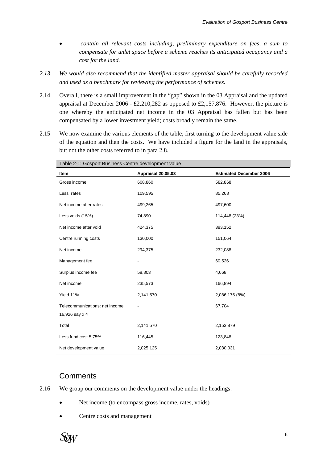- • *contain all relevant costs including, preliminary expenditure on fees, a sum to compensate for unlet space before a scheme reaches its anticipated occupancy and a cost for the land.*
- *2.13 We would also recommend that the identified master appraisal should be carefully recorded and used as a benchmark for reviewing the performance of schemes.*
- 2.14 Overall, there is a small improvement in the "gap" shown in the 03 Appraisal and the updated appraisal at December 2006 - £2,210,282 as opposed to £2,157,876. However, the picture is one whereby the anticipated net income in the 03 Appraisal has fallen but has been compensated by a lower investment yield; costs broadly remain the same.
- 2.15 We now examine the various elements of the table; first turning to the development value side of the equation and then the costs. We have included a figure for the land in the appraisals, but not the other costs referred to in para 2.8.

| rabic z i. Obsport Basincss Ochtre acvelopment value |                    |                                |
|------------------------------------------------------|--------------------|--------------------------------|
| Item                                                 | Appraisal 20.05.03 | <b>Estimated December 2006</b> |
| Gross income                                         | 608,860            | 582,868                        |
| Less rates                                           | 109,595            | 85,268                         |
| Net income after rates                               | 499,265            | 497,600                        |
| Less voids (15%)                                     | 74,890             | 114,448 (23%)                  |
| Net income after void                                | 424,375            | 383,152                        |
| Centre running costs                                 | 130,000            | 151,064                        |
| Net income                                           | 294,375            | 232,088                        |
| Management fee                                       |                    | 60,526                         |
| Surplus income fee                                   | 58,803             | 4,668                          |
| Net income                                           | 235,573            | 166,894                        |
| Yield 11%                                            | 2,141,570          | 2,086,175 (8%)                 |
| Telecommunications: net income<br>16,926 say x 4     |                    | 67,704                         |
| Total                                                | 2,141,570          | 2,153,879                      |
| Less fund cost 5.75%                                 | 116,445            | 123,848                        |
| Net development value                                | 2,025,125          | 2,030,031                      |

Table 2-1: Gosport Business Centre development value

## **Comments**

- 2.16 We group our comments on the development value under the headings:
	- Net income (to encompass gross income, rates, voids)
	- Centre costs and management

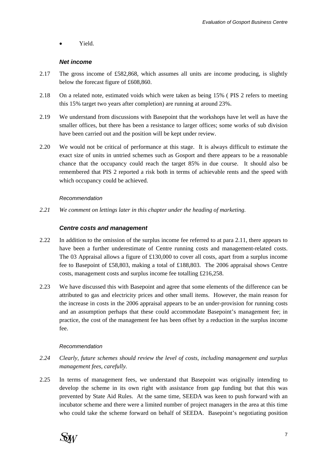• Yield.

### *Net income*

- 2.17 The gross income of £582,868, which assumes all units are income producing, is slightly below the forecast figure of £608,860.
- 2.18 On a related note, estimated voids which were taken as being 15% ( PIS 2 refers to meeting this 15% target two years after completion) are running at around 23%.
- 2.19 We understand from discussions with Basepoint that the workshops have let well as have the smaller offices, but there has been a resistance to larger offices; some works of sub division have been carried out and the position will be kept under review.
- 2.20 We would not be critical of performance at this stage. It is always difficult to estimate the exact size of units in untried schemes such as Gosport and there appears to be a reasonable chance that the occupancy could reach the target 85% in due course. It should also be remembered that PIS 2 reported a risk both in terms of achievable rents and the speed with which occupancy could be achieved.

### *Recommendation*

*2.21 We comment on lettings later in this chapter under the heading of marketing.* 

### *Centre costs and management*

- 2.22 In addition to the omission of the surplus income fee referred to at para 2.11, there appears to have been a further underestimate of Centre running costs and management-related costs. The 03 Appraisal allows a figure of £130,000 to cover all costs, apart from a surplus income fee to Basepoint of £58,803, making a total of £188,803. The 2006 appraisal shows Centre costs, management costs and surplus income fee totalling £216,258.
- 2.23 We have discussed this with Basepoint and agree that some elements of the difference can be attributed to gas and electricity prices and other small items. However, the main reason for the increase in costs in the 2006 appraisal appears to be an under-provision for running costs and an assumption perhaps that these could accommodate Basepoint's management fee; in practice, the cost of the management fee has been offset by a reduction in the surplus income fee.

### *Recommendation*

- *2.24 Clearly, future schemes should review the level of costs, including management and surplus management fees, carefully.*
- 2.25 In terms of management fees, we understand that Basepoint was originally intending to develop the scheme in its own right with assistance from gap funding but that this was prevented by State Aid Rules. At the same time, SEEDA was keen to push forward with an incubator scheme and there were a limited number of project managers in the area at this time who could take the scheme forward on behalf of SEEDA. Basepoint's negotiating position

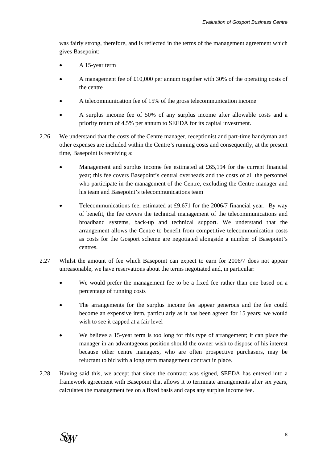was fairly strong, therefore, and is reflected in the terms of the management agreement which gives Basepoint:

- A 15-year term
- A management fee of £10,000 per annum together with 30% of the operating costs of the centre
- A telecommunication fee of 15% of the gross telecommunication income
- A surplus income fee of 50% of any surplus income after allowable costs and a priority return of 4.5% per annum to SEEDA for its capital investment.
- 2.26 We understand that the costs of the Centre manager, receptionist and part-time handyman and other expenses are included within the Centre's running costs and consequently, at the present time, Basepoint is receiving a:
	- Management and surplus income fee estimated at  $£65,194$  for the current financial year; this fee covers Basepoint's central overheads and the costs of all the personnel who participate in the management of the Centre, excluding the Centre manager and his team and Basepoint's telecommunications team
	- Telecommunications fee, estimated at £9,671 for the 2006/7 financial year. By way of benefit, the fee covers the technical management of the telecommunications and broadband systems, back-up and technical support. We understand that the arrangement allows the Centre to benefit from competitive telecommunication costs as costs for the Gosport scheme are negotiated alongside a number of Basepoint's centres.
- 2.27 Whilst the amount of fee which Basepoint can expect to earn for 2006/7 does not appear unreasonable, we have reservations about the terms negotiated and, in particular:
	- We would prefer the management fee to be a fixed fee rather than one based on a percentage of running costs
	- The arrangements for the surplus income fee appear generous and the fee could become an expensive item, particularly as it has been agreed for 15 years; we would wish to see it capped at a fair level
	- We believe a 15-year term is too long for this type of arrangement; it can place the manager in an advantageous position should the owner wish to dispose of his interest because other centre managers, who are often prospective purchasers, may be reluctant to bid with a long term management contract in place.
- 2.28 Having said this, we accept that since the contract was signed, SEEDA has entered into a framework agreement with Basepoint that allows it to terminate arrangements after six years, calculates the management fee on a fixed basis and caps any surplus income fee.

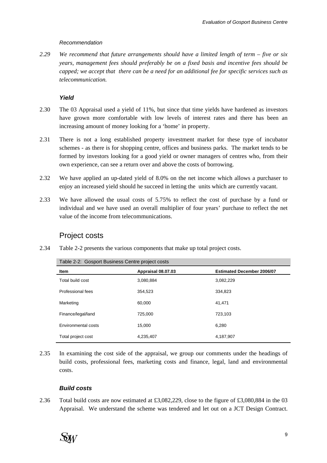### *Recommendation*

*2.29 We recommend that future arrangements should have a limited length of term – five or six years, management fees should preferably be on a fixed basis and incentive fees should be capped; we accept that there can be a need for an additional fee for specific services such as telecommunication.* 

## *Yield*

- 2.30 The 03 Appraisal used a yield of 11%, but since that time yields have hardened as investors have grown more comfortable with low levels of interest rates and there has been an increasing amount of money looking for a 'home' in property.
- 2.31 There is not a long established property investment market for these type of incubator schemes - as there is for shopping centre, offices and business parks. The market tends to be formed by investors looking for a good yield or owner managers of centres who, from their own experience, can see a return over and above the costs of borrowing.
- 2.32 We have applied an up-dated yield of 8.0% on the net income which allows a purchaser to enjoy an increased yield should he succeed in letting the units which are currently vacant.
- 2.33 We have allowed the usual costs of 5.75% to reflect the cost of purchase by a fund or individual and we have used an overall multiplier of four years' purchase to reflect the net value of the income from telecommunications.

## Project costs

<span id="page-9-0"></span>2.34 [Table 2-2](#page-9-0) presents the various components that make up total project costs.

| rable 2-2. Ouspuit Dusiness Centre project costs |                    |                                   |  |  |  |  |
|--------------------------------------------------|--------------------|-----------------------------------|--|--|--|--|
| <b>Item</b>                                      | Appraisal 08.07.03 | <b>Estimated December 2006/07</b> |  |  |  |  |
| Total build cost                                 | 3,080,884          | 3,082,229                         |  |  |  |  |
| Professional fees                                | 354,523            | 334,823                           |  |  |  |  |
| Marketing                                        | 60,000             | 41.471                            |  |  |  |  |
| Finance/legal/land                               | 725,000            | 723,103                           |  |  |  |  |
| Environmental costs                              | 15,000             | 6,280                             |  |  |  |  |
| Total project cost                               | 4,235,407          | 4,187,907                         |  |  |  |  |

Table 2-2: Gosport Business Centre project costs

2.35 In examining the cost side of the appraisal, we group our comments under the headings of build costs, professional fees, marketing costs and finance, legal, land and environmental costs.

### *Build costs*

2.36 Total build costs are now estimated at £3,082,229, close to the figure of £3,080,884 in the 03 Appraisal. We understand the scheme was tendered and let out on a JCT Design Contract.

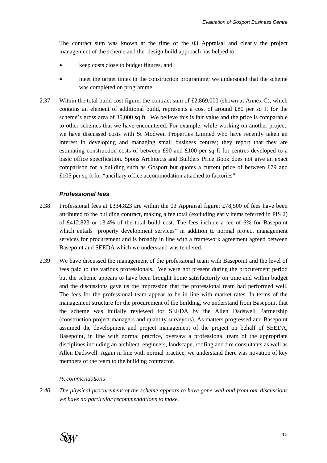The contract sum was known at the time of the 03 Appraisal and clearly the project management of the scheme and the design build approach has helped to:

- keep costs close to budget figures, and
- meet the target times in the construction programme; we understand that the scheme was completed on programme.
- 2.37 Within the total build cost figure, the contract sum of £2,869,000 (shown at Annex C), which contains an element of additional build, represents a cost of around £80 per sq ft for the scheme's gross area of 35,000 sq ft. We believe this is fair value and the price is comparable to other schemes that we have encountered. For example, while working on another project, we have discussed costs with St Modwen Properties Limited who have recently taken an interest in developing and managing small business centres; they report that they are estimating construction costs of between £90 and £100 per sq ft for centres developed to a basic office specification. Spons Architects and Builders Price Book does not give an exact comparison for a building such as Gosport but quotes a current price of between £79 and £105 per sq ft for "ancillary office accommodation attached to factories".

#### *Professional fees*

- 2.38 Professional fees at £334,823 are within the 03 Appraisal figure; £78,500 of fees have been attributed to the building contract, making a fee total (excluding early items referred in PIS 2) of £412,823 or 13.4% of the total build cost. The fees include a fee of 6% for Basepoint which entails "property development services" in addition to normal project management services for procurement and is broadly in line with a framework agreement agreed between Basepoint and SEEDA which we understand was tendered.
- 2.39 We have discussed the management of the professional team with Basepoint and the level of fees paid to the various professionals. We were not present during the procurement period but the scheme appears to have been brought home satisfactorily on time and within budget and the discussions gave us the impression that the professional team had performed well. The fees for the professional team appear to be in line with market rates. In terms of the management structure for the procurement of the building, we understand from Basepoint that the scheme was initially reviewed for SEEDA by the Allen Dadswell Partnership (construction project managers and quantity surveyors). As matters progressed and Basepoint assumed the development and project management of the project on behalf of SEEDA, Basepoint, in line with normal practice, oversaw a professional team of the appropriate disciplines including an architect, engineers, landscape, roofing and fire consultants as well as Allen Dadswell. Again in line with normal practice, we understand there was novation of key members of the team to the building contractor.

#### *Recommendations*

*2.40 The physical procurement of the scheme appears to have gone well and from our discussions we have no particular recommendations to make.* 

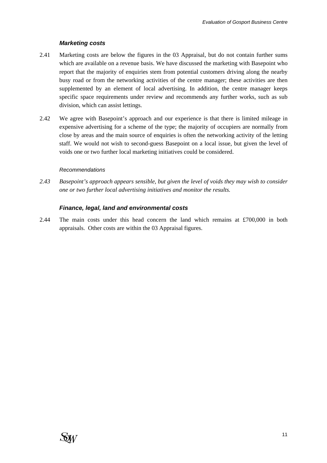### *Marketing costs*

- 2.41 Marketing costs are below the figures in the 03 Appraisal, but do not contain further sums which are available on a revenue basis. We have discussed the marketing with Basepoint who report that the majority of enquiries stem from potential customers driving along the nearby busy road or from the networking activities of the centre manager; these activities are then supplemented by an element of local advertising. In addition, the centre manager keeps specific space requirements under review and recommends any further works, such as sub division, which can assist lettings.
- 2.42 We agree with Basepoint's approach and our experience is that there is limited mileage in expensive advertising for a scheme of the type; the majority of occupiers are normally from close by areas and the main source of enquiries is often the networking activity of the letting staff. We would not wish to second-guess Basepoint on a local issue, but given the level of voids one or two further local marketing initiatives could be considered.

### *Recommendations*

*2.43 Basepoint's approach appears sensible, but given the level of voids they may wish to consider one or two further local advertising initiatives and monitor the results.* 

### *Finance, legal, land and environmental costs*

2.44 The main costs under this head concern the land which remains at £700,000 in both appraisals. Other costs are within the 03 Appraisal figures.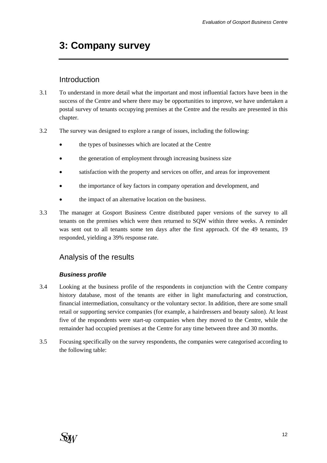# <span id="page-12-0"></span>**3: Company survey**

## Introduction

- 3.1 To understand in more detail what the important and most influential factors have been in the success of the Centre and where there may be opportunities to improve, we have undertaken a postal survey of tenants occupying premises at the Centre and the results are presented in this chapter.
- 3.2 The survey was designed to explore a range of issues, including the following:
	- the types of businesses which are located at the Centre
	- the generation of employment through increasing business size
	- satisfaction with the property and services on offer, and areas for improvement
	- the importance of key factors in company operation and development, and
	- the impact of an alternative location on the business.
- 3.3 The manager at Gosport Business Centre distributed paper versions of the survey to all tenants on the premises which were then returned to SQW within three weeks. A reminder was sent out to all tenants some ten days after the first approach. Of the 49 tenants, 19 responded, yielding a 39% response rate.

## Analysis of the results

### *Business profile*

- 3.4 Looking at the business profile of the respondents in conjunction with the Centre company history database, most of the tenants are either in light manufacturing and construction, financial intermediation, consultancy or the voluntary sector. In addition, there are some small retail or supporting service companies (for example, a hairdressers and beauty salon). At least five of the respondents were start-up companies when they moved to the Centre, while the remainder had occupied premises at the Centre for any time between three and 30 months.
- 3.5 Focusing specifically on the survey respondents, the companies were categorised according to the following table: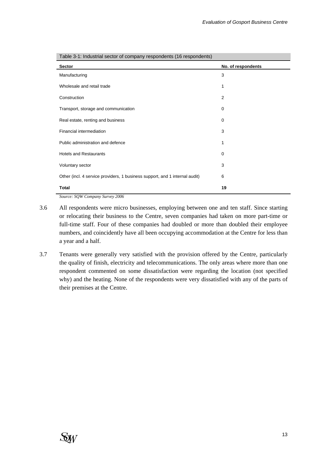| <b>Sector</b>                                                               | No. of respondents |
|-----------------------------------------------------------------------------|--------------------|
| Manufacturing                                                               | 3                  |
| Wholesale and retail trade                                                  | 1                  |
| Construction                                                                | $\overline{2}$     |
| Transport, storage and communication                                        | 0                  |
| Real estate, renting and business                                           | 0                  |
| Financial intermediation                                                    | 3                  |
| Public administration and defence                                           | 1                  |
| <b>Hotels and Restaurants</b>                                               | 0                  |
| Voluntary sector                                                            | 3                  |
| Other (incl. 4 service providers, 1 business support, and 1 internal audit) | 6                  |
| <b>Total</b>                                                                | 19                 |

Table 3-1: Industrial sector of company respondents (16 respondents)

*Source: SQW Company Survey 2006* 

- 3.6 All respondents were micro businesses, employing between one and ten staff. Since starting or relocating their business to the Centre, seven companies had taken on more part-time or full-time staff. Four of these companies had doubled or more than doubled their employee numbers, and coincidently have all been occupying accommodation at the Centre for less than a year and a half.
- 3.7 Tenants were generally very satisfied with the provision offered by the Centre, particularly the quality of finish, electricity and telecommunications. The only areas where more than one respondent commented on some dissatisfaction were regarding the location (not specified why) and the heating. None of the respondents were very dissatisfied with any of the parts of their premises at the Centre.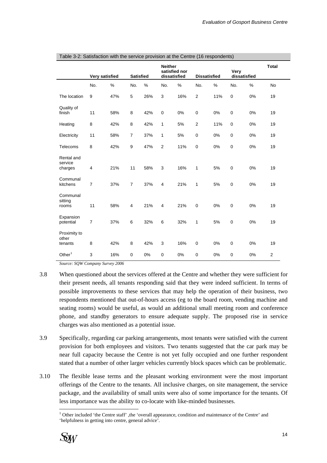|                                  |                         |      |                  |      | <b>Neither</b> | satisfied nor |                     |     | Very         |      | <b>Total</b>   |
|----------------------------------|-------------------------|------|------------------|------|----------------|---------------|---------------------|-----|--------------|------|----------------|
|                                  | Very satisfied          |      | <b>Satisfied</b> |      | dissatisfied   |               | <b>Dissatisfied</b> |     | dissatisfied |      |                |
|                                  | No.                     | $\%$ | No.              | $\%$ | No.            | $\%$          | No.                 | %   | No.          | $\%$ | <b>No</b>      |
| The location                     | 9                       | 47%  | 5                | 26%  | 3              | 16%           | $\overline{2}$      | 11% | $\mathbf 0$  | 0%   | 19             |
| Quality of<br>finish             | 11                      | 58%  | 8                | 42%  | $\mathbf 0$    | 0%            | 0                   | 0%  | $\mathbf 0$  | 0%   | 19             |
| Heating                          | 8                       | 42%  | 8                | 42%  | 1              | 5%            | 2                   | 11% | $\mathbf 0$  | 0%   | 19             |
| Electricity                      | 11                      | 58%  | $\overline{7}$   | 37%  | 1              | 5%            | $\pmb{0}$           | 0%  | $\pmb{0}$    | 0%   | 19             |
| Telecoms                         | 8                       | 42%  | 9                | 47%  | $\overline{2}$ | 11%           | 0                   | 0%  | $\mathbf 0$  | 0%   | 19             |
| Rental and<br>service<br>charges | $\overline{\mathbf{4}}$ | 21%  | 11               | 58%  | 3              | 16%           | 1                   | 5%  | $\mathbf 0$  | 0%   | 19             |
| Communal<br>kitchens             | $\overline{7}$          | 37%  | $\overline{7}$   | 37%  | 4              | 21%           | 1                   | 5%  | $\mathbf 0$  | 0%   | 19             |
| Communal<br>sitting<br>rooms     | 11                      | 58%  | 4                | 21%  | 4              | 21%           | 0                   | 0%  | $\mathbf 0$  | 0%   | 19             |
| Expansion<br>potential           | 7                       | 37%  | 6                | 32%  | 6              | 32%           | $\mathbf{1}$        | 5%  | $\mathbf 0$  | 0%   | 19             |
| Proximity to<br>other<br>tenants | 8                       | 42%  | 8                | 42%  | 3              | 16%           | 0                   | 0%  | $\mathbf 0$  | 0%   | 19             |
| Other $1$                        | 3                       | 16%  | $\mathbf 0$      | 0%   | $\mathbf 0$    | 0%            | 0                   | 0%  | $\mathbf 0$  | 0%   | $\overline{2}$ |

<span id="page-14-0"></span>

|  | Table 3-2: Satisfaction with the service provision at the Centre (16 respondents) |  |  |
|--|-----------------------------------------------------------------------------------|--|--|
|--|-----------------------------------------------------------------------------------|--|--|

*Source: SQW Company Survey 2006* 

- 3.8 When questioned about the services offered at the Centre and whether they were sufficient for their present needs, all tenants responding said that they were indeed sufficient. In terms of possible improvements to these services that may help the operation of their business, two respondents mentioned that out-of-hours access (eg to the board room, vending machine and seating rooms) would be useful, as would an additional small meeting room and conference phone, and standby generators to ensure adequate supply. The proposed rise in service charges was also mentioned as a potential issue.
- 3.9 Specifically, regarding car parking arrangements, most tenants were satisfied with the current provision for both employees and visitors. Two tenants suggested that the car park may be near full capacity because the Centre is not yet fully occupied and one further respondent stated that a number of other larger vehicles currently block spaces which can be problematic.
- 3.10 The flexible lease terms and the pleasant working environment were the most important offerings of the Centre to the tenants. All inclusive charges, on site management, the service package, and the availability of small units were also of some importance for the tenants. Of less importance was the ability to co-locate with like-minded businesses.

l <sup>1</sup> Other included 'the Centre staff', the 'overall appearance, condition and maintenance of the Centre' and 'helpfulness in getting into centre, general advice'.

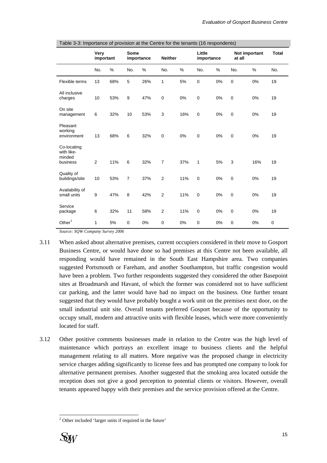|                                                 | Very      |      |                | Some       |                | Little |             |    | Not important | <b>Total</b> |           |
|-------------------------------------------------|-----------|------|----------------|------------|----------------|--------|-------------|----|---------------|--------------|-----------|
|                                                 | important |      |                | importance | <b>Neither</b> |        | importance  |    | at all        |              |           |
|                                                 | No.       | $\%$ | No.            | %          | No.            | %      | No.         | %  | No.           | %            | No.       |
| Flexible terms                                  | 13        | 68%  | 5              | 26%        | 1              | 5%     | $\pmb{0}$   | 0% | $\mathbf 0$   | 0%           | 19        |
| All inclusive<br>charges                        | 10        | 53%  | 9              | 47%        | $\mathbf 0$    | 0%     | $\mathbf 0$ | 0% | $\mathbf 0$   | 0%           | 19        |
| On site<br>management                           | 6         | 32%  | 10             | 53%        | 3              | 16%    | $\mathbf 0$ | 0% | $\mathbf 0$   | 0%           | 19        |
| Pleasant<br>working<br>environment              | 13        | 68%  | 6              | 32%        | $\pmb{0}$      | 0%     | $\mathbf 0$ | 0% | $\mathbf 0$   | 0%           | 19        |
| Co-locating<br>with like-<br>minded<br>business | 2         | 11%  | 6              | 32%        | $\overline{7}$ | 37%    | 1           | 5% | 3             | 16%          | 19        |
| Quality of<br>buildings/site                    | 10        | 53%  | $\overline{7}$ | 37%        | $\overline{2}$ | 11%    | $\mathbf 0$ | 0% | $\mathbf 0$   | 0%           | 19        |
| Availability of<br>small units                  | 9         | 47%  | 8              | 42%        | $\overline{2}$ | 11%    | $\mathbf 0$ | 0% | $\mathbf 0$   | 0%           | 19        |
| Service<br>package                              | 6         | 32%  | 11             | 58%        | 2              | 11%    | $\mathbf 0$ | 0% | $\mathbf 0$   | 0%           | 19        |
| Other $2$                                       | 1         | 5%   | $\mathbf 0$    | 0%         | 0              | 0%     | $\mathbf 0$ | 0% | $\mathbf 0$   | 0%           | $\pmb{0}$ |

<span id="page-15-0"></span>Table 3-3: Importance of provision at the Centre for the tenants (16 respondents)

*Source: SQW Company Survey 2006* 

- 3.11 When asked about alternative premises, current occupiers considered in their move to Gosport Business Centre, or would have done so had premises at this Centre not been available, all responding would have remained in the South East Hampshire area. Two companies suggested Portsmouth or Fareham, and another Southampton, but traffic congestion would have been a problem. Two further respondents suggested they considered the other Basepoint sites at Broadmarsh and Havant, of which the former was considered not to have sufficient car parking, and the latter would have had no impact on the business. One further tenant suggested that they would have probably bought a work unit on the premises next door, on the small industrial unit site. Overall tenants preferred Gosport because of the opportunity to occupy small, modern and attractive units with flexible leases, which were more conveniently located for staff.
- 3.12 Other positive comments businesses made in relation to the Centre was the high level of maintenance which portrays an excellent image to business clients and the helpful management relating to all matters. More negative was the proposed change in electricity service charges adding significantly to license fees and has prompted one company to look for alternative permanent premises. Another suggested that the smoking area located outside the reception does not give a good perception to potential clients or visitors. However, overall tenants appeared happy with their premises and the service provision offered at the Centre.

 2 Other included 'larger units if required in the future'

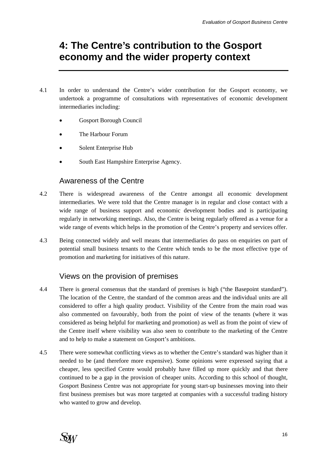# <span id="page-16-0"></span>**4: The Centre's contribution to the Gosport economy and the wider property context**

- 4.1 In order to understand the Centre's wider contribution for the Gosport economy, we undertook a programme of consultations with representatives of economic development intermediaries including:
	- Gosport Borough Council
	- The Harbour Forum
	- Solent Enterprise Hub
	- South East Hampshire Enterprise Agency.

## Awareness of the Centre

- 4.2 There is widespread awareness of the Centre amongst all economic development intermediaries. We were told that the Centre manager is in regular and close contact with a wide range of business support and economic development bodies and is participating regularly in networking meetings. Also, the Centre is being regularly offered as a venue for a wide range of events which helps in the promotion of the Centre's property and services offer.
- 4.3 Being connected widely and well means that intermediaries do pass on enquiries on part of potential small business tenants to the Centre which tends to be the most effective type of promotion and marketing for initiatives of this nature.

## Views on the provision of premises

- 4.4 There is general consensus that the standard of premises is high ("the Basepoint standard"). The location of the Centre, the standard of the common areas and the individual units are all considered to offer a high quality product. Visibility of the Centre from the main road was also commented on favourably, both from the point of view of the tenants (where it was considered as being helpful for marketing and promotion) as well as from the point of view of the Centre itself where visibility was also seen to contribute to the marketing of the Centre and to help to make a statement on Gosport's ambitions.
- 4.5 There were somewhat conflicting views as to whether the Centre's standard was higher than it needed to be (and therefore more expensive). Some opinions were expressed saying that a cheaper, less specified Centre would probably have filled up more quickly and that there continued to be a gap in the provision of cheaper units. According to this school of thought, Gosport Business Centre was not appropriate for young start-up businesses moving into their first business premises but was more targeted at companies with a successful trading history who wanted to grow and develop.

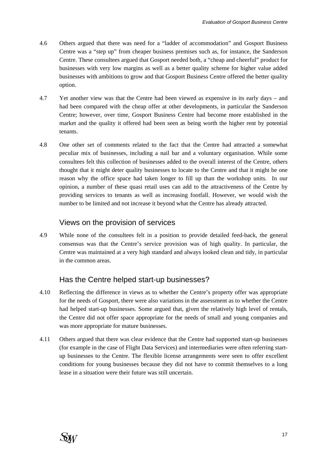- 4.6 Others argued that there was need for a "ladder of accommodation" and Gosport Business Centre was a "step up" from cheaper business premises such as, for instance, the Sanderson Centre. These consultees argued that Gosport needed both, a "cheap and cheerful" product for businesses with very low margins as well as a better quality scheme for higher value added businesses with ambitions to grow and that Gosport Business Centre offered the better quality option.
- 4.7 Yet another view was that the Centre had been viewed as expensive in its early days and had been compared with the cheap offer at other developments, in particular the Sanderson Centre; however, over time, Gosport Business Centre had become more established in the market and the quality it offered had been seen as being worth the higher rent by potential tenants.
- 4.8 One other set of comments related to the fact that the Centre had attracted a somewhat peculiar mix of businesses, including a nail bar and a voluntary organisation. While some consultees felt this collection of businesses added to the overall interest of the Centre, others thought that it might deter quality businesses to locate to the Centre and that it might be one reason why the office space had taken longer to fill up than the workshop units. In our opinion, a number of these quasi retail uses can add to the attractiveness of the Centre by providing services to tenants as well as increasing footfall. However, we would wish the number to be limited and not increase it beyond what the Centre has already attracted.

## Views on the provision of services

4.9 While none of the consultees felt in a position to provide detailed feed-back, the general consensus was that the Centre's service provision was of high quality. In particular, the Centre was maintained at a very high standard and always looked clean and tidy, in particular in the common areas.

## Has the Centre helped start-up businesses?

- 4.10 Reflecting the difference in views as to whether the Centre's property offer was appropriate for the needs of Gosport, there were also variations in the assessment as to whether the Centre had helped start-up businesses. Some argued that, given the relatively high level of rentals, the Centre did not offer space appropriate for the needs of small and young companies and was more appropriate for mature businesses.
- 4.11 Others argued that there was clear evidence that the Centre had supported start-up businesses (for example in the case of Flight Data Services) and intermediaries were often referring startup businesses to the Centre. The flexible license arrangements were seen to offer excellent conditions for young businesses because they did not have to commit themselves to a long lease in a situation were their future was still uncertain.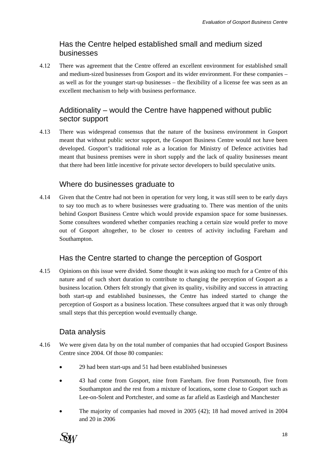## Has the Centre helped established small and medium sized businesses

4.12 There was agreement that the Centre offered an excellent environment for established small and medium-sized businesses from Gosport and its wider environment. For these companies – as well as for the younger start-up businesses – the flexibility of a license fee was seen as an excellent mechanism to help with business performance.

## Additionality – would the Centre have happened without public sector support

4.13 There was widespread consensus that the nature of the business environment in Gosport meant that without public sector support, the Gosport Business Centre would not have been developed. Gosport's traditional role as a location for Ministry of Defence activities had meant that business premises were in short supply and the lack of quality businesses meant that there had been little incentive for private sector developers to build speculative units.

## Where do businesses graduate to

4.14 Given that the Centre had not been in operation for very long, it was still seen to be early days to say too much as to where businesses were graduating to. There was mention of the units behind Gosport Business Centre which would provide expansion space for some businesses. Some consultees wondered whether companies reaching a certain size would prefer to move out of Gosport altogether, to be closer to centres of activity including Fareham and Southampton.

## Has the Centre started to change the perception of Gosport

4.15 Opinions on this issue were divided. Some thought it was asking too much for a Centre of this nature and of such short duration to contribute to changing the perception of Gosport as a business location. Others felt strongly that given its quality, visibility and success in attracting both start-up and established businesses, the Centre has indeed started to change the perception of Gosport as a business location. These consultees argued that it was only through small steps that this perception would eventually change.

## Data analysis

- 4.16 We were given data by on the total number of companies that had occupied Gosport Business Centre since 2004. Of those 80 companies:
	- 29 had been start-ups and 51 had been established businesses
	- 43 had come from Gosport, nine from Fareham. five from Portsmouth, five from Southampton and the rest from a mixture of locations, some close to Gosport such as Lee-on-Solent and Portchester, and some as far afield as Eastleigh and Manchester
	- The majority of companies had moved in 2005 (42); 18 had moved arrived in 2004 and 20 in 2006

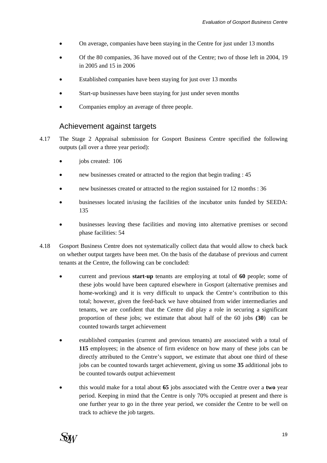- On average, companies have been staying in the Centre for just under 13 months
- Of the 80 companies, 36 have moved out of the Centre; two of those left in 2004, 19 in 2005 and 15 in 2006
- Established companies have been staying for just over 13 months
- Start-up businesses have been staying for just under seven months
- Companies employ an average of three people.

## Achievement against targets

- 4.17 The Stage 2 Appraisal submission for Gosport Business Centre specified the following outputs (all over a three year period):
	- iobs created: 106
	- new businesses created or attracted to the region that begin trading : 45
	- new businesses created or attracted to the region sustained for 12 months : 36
	- businesses located in/using the facilities of the incubator units funded by SEEDA: 135
	- businesses leaving these facilities and moving into alternative premises or second phase facilities: 54
- 4.18 Gosport Business Centre does not systematically collect data that would allow to check back on whether output targets have been met. On the basis of the database of previous and current tenants at the Centre, the following can be concluded:
	- current and previous **start-up** tenants are employing at total of **60** people; some of these jobs would have been captured elsewhere in Gosport (alternative premises and home-working) and it is very difficult to unpack the Centre's contribution to this total; however, given the feed-back we have obtained from wider intermediaries and tenants, we are confident that the Centre did play a role in securing a significant proportion of these jobs; we estimate that about half of the 60 jobs **(30**) can be counted towards target achievement
	- established companies (current and previous tenants) are associated with a total of **115** employees; in the absence of firm evidence on how many of these jobs can be directly attributed to the Centre's support, we estimate that about one third of these jobs can be counted towards target achievement, giving us some **35** additional jobs to be counted towards output achievement
	- this would make for a total about **65** jobs associated with the Centre over a **two** year period. Keeping in mind that the Centre is only 70% occupied at present and there is one further year to go in the three year period, we consider the Centre to be well on track to achieve the job targets.

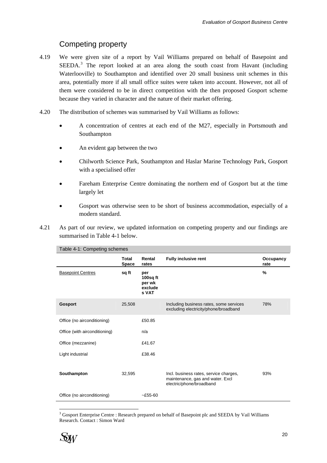## Competing property

- <span id="page-20-0"></span>4.19 We were given site of a report by Vail Williams prepared on behalf of Basepoint and SEEDA.<sup>[3](#page-20-0)</sup> The report looked at an area along the south coast from Havant (including Waterlooville) to Southampton and identified over 20 small business unit schemes in this area, potentially more if all small office suites were taken into account. However, not all of them were considered to be in direct competition with the then proposed Gosport scheme because they varied in character and the nature of their market offering.
- 4.20 The distribution of schemes was summarised by Vail Williams as follows:
	- A concentration of centres at each end of the M27, especially in Portsmouth and Southampton
	- An evident gap between the two
	- Chilworth Science Park, Southampton and Haslar Marine Technology Park, Gosport with a specialised offer
	- Fareham Enterprise Centre dominating the northern end of Gosport but at the time largely let
	- Gosport was otherwise seen to be short of business accommodation, especially of a modern standard.
- <span id="page-20-1"></span>4.21 As part of our review, we updated information on competing property and our findings are summarised in [Table 4-1](#page-20-1) below.

| Table 4-1: Competing schemes  |                              |                                               |                                                                                                        |                   |
|-------------------------------|------------------------------|-----------------------------------------------|--------------------------------------------------------------------------------------------------------|-------------------|
|                               | <b>Total</b><br><b>Space</b> | Rental<br>rates                               | <b>Fully inclusive rent</b>                                                                            | Occupancy<br>rate |
| <b>Basepoint Centres</b>      | sq ft                        | per<br>100sq ft<br>per wk<br>exclude<br>s VAT |                                                                                                        | %                 |
| <b>Gosport</b>                | 25,508                       |                                               | Including business rates, some services<br>excluding electricity/phone/broadband                       | 78%               |
| Office (no airconditioning)   |                              | £50.85                                        |                                                                                                        |                   |
| Office (with airconditioning) |                              | n/a                                           |                                                                                                        |                   |
| Office (mezzanine)            |                              | £41.67                                        |                                                                                                        |                   |
| Light industrial              |                              | £38.46                                        |                                                                                                        |                   |
| Southampton                   | 32,595                       |                                               | Incl. business rates, service charges,<br>maintenance, gas and water. Excl<br>electric/phone/broadband | 93%               |
| Office (no airconditioning)   |                              | $-£55-60$                                     |                                                                                                        |                   |

<sup>&</sup>lt;sup>3</sup> Gosport Enterprise Centre : Research prepared on behalf of Basepoint plc and SEEDA by Vail Williams Research. Contact : Simon Ward



l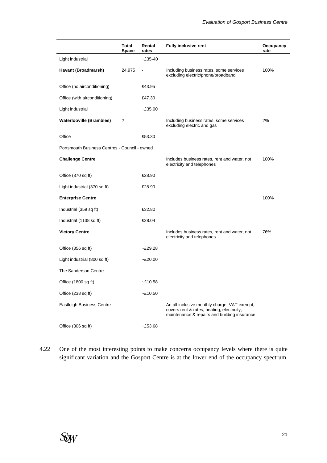|                                               | Total<br><b>Space</b> | Rental<br>rates | <b>Fully inclusive rent</b>                                                                                                                | Occupancy<br>rate |
|-----------------------------------------------|-----------------------|-----------------|--------------------------------------------------------------------------------------------------------------------------------------------|-------------------|
| Light industrial                              |                       | $-£35-40$       |                                                                                                                                            |                   |
| Havant (Broadmarsh)                           | 24,975                |                 | Including business rates, some services<br>excluding electric/phone/broadband                                                              | 100%              |
| Office (no airconditioning)                   |                       | £43.95          |                                                                                                                                            |                   |
| Office (with airconditioning)                 |                       | £47.30          |                                                                                                                                            |                   |
| Light industrial                              |                       | $-£35.00$       |                                                                                                                                            |                   |
| <b>Waterlooville (Brambles)</b>               | ?                     |                 | Including business rates, some services<br>excluding electric and gas                                                                      | 2%                |
| Office                                        |                       | £53.30          |                                                                                                                                            |                   |
| Portsmouth Business Centres - Council - owned |                       |                 |                                                                                                                                            |                   |
| <b>Challenge Centre</b>                       |                       |                 | Includes business rates, rent and water, not<br>electricity and telephones                                                                 | 100%              |
| Office (370 sq ft)                            |                       | £28.90          |                                                                                                                                            |                   |
| Light industrial (370 sq ft)                  |                       | £28.90          |                                                                                                                                            |                   |
| <b>Enterprise Centre</b>                      |                       |                 |                                                                                                                                            | 100%              |
| Industrial (359 sq ft)                        |                       | £32.80          |                                                                                                                                            |                   |
| Industrial (1138 sq ft)                       |                       | £28.04          |                                                                                                                                            |                   |
| <b>Victory Centre</b>                         |                       |                 | Includes business rates, rent and water, not<br>electricity and telephones                                                                 | 76%               |
| Office (356 sq ft)                            |                       | $-E29.28$       |                                                                                                                                            |                   |
| Light industrial (800 sq ft)                  |                       | $-£20.00$       |                                                                                                                                            |                   |
| The Sanderson Centre                          |                       |                 |                                                                                                                                            |                   |
| Office (1800 sq ft)                           |                       | $-E10.58$       |                                                                                                                                            |                   |
| Office (238 sq ft)                            |                       | $-£10.50$       |                                                                                                                                            |                   |
| <b>Eastleigh Business Centre</b>              |                       |                 | An all inclusive monthly charge, VAT exempt,<br>covers rent & rates, heating, electricity,<br>maintenance & repairs and building insurance |                   |
| Office (306 sq ft)                            |                       | $-£53.68$       |                                                                                                                                            |                   |

4.22 One of the most interesting points to make concerns occupancy levels where there is quite significant variation and the Gosport Centre is at the lower end of the occupancy spectrum.

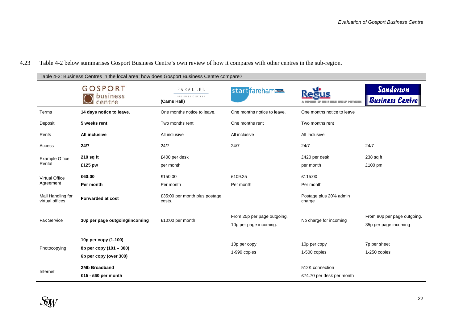#### 4.23Table 4-2 below summarises Gosport Business Centre's own review of how it compares with other centres in the sub-region.

Table 4-2: Business Centres in the local area: how does Gosport Business Centre compare?

|                                      | <b>GOSPORT</b><br>business<br>centre                                      | PARALLEL<br><b>BUSINESS CENTRES</b><br>(Cams Hall) | start fareham                                         |                                              | <b>Sanderson</b><br>Business Centre                  |
|--------------------------------------|---------------------------------------------------------------------------|----------------------------------------------------|-------------------------------------------------------|----------------------------------------------|------------------------------------------------------|
| Terms                                | 14 days notice to leave.                                                  | One months notice to leave.                        | One months notice to leave.                           | One months notice to leave                   |                                                      |
| Deposit                              | 5 weeks rent                                                              | Two months rent                                    | One months rent                                       | Two months rent                              |                                                      |
| Rents                                | <b>All inclusive</b>                                                      | All inclusive                                      | All inclusive                                         | All Inclusive                                |                                                      |
| Access                               | 24/7                                                                      | 24/7                                               | 24/7                                                  | 24/7                                         | 24/7                                                 |
| <b>Example Office</b><br>Rental      | $210$ sq ft<br>£125 pw                                                    | £400 per desk<br>per month                         |                                                       | £420 per desk<br>per month                   | 238 sq ft<br>£100 pm                                 |
| <b>Virtual Office</b><br>Agreement   | £60:00<br>Per month                                                       | £150:00<br>Per month                               | £109.25<br>Per month                                  | £115:00<br>Per month                         |                                                      |
| Mail Handling for<br>virtual offices | <b>Forwarded at cost</b>                                                  | £35:00 per month plus postage<br>costs.            |                                                       | Postage plus 20% admin<br>charge             |                                                      |
| <b>Fax Service</b>                   | 30p per page outgoing/incoming                                            | £10:00 per month                                   | From 25p per page outgoing.<br>10p per page incoming. | No charge for incoming                       | From 80p per page outgoing.<br>35p per page incoming |
| Photocopying                         | 10p per copy (1-100)<br>8p per copy (101 - 300)<br>6p per copy (over 300) |                                                    | 10p per copy<br>1-999 copies                          | 10p per copy<br>1-500 copies                 | 7p per sheet<br>1-250 copies                         |
| Internet                             | 2Mb Broadband<br>£15 - £60 per month                                      |                                                    |                                                       | 512K connection<br>£74.70 per desk per month |                                                      |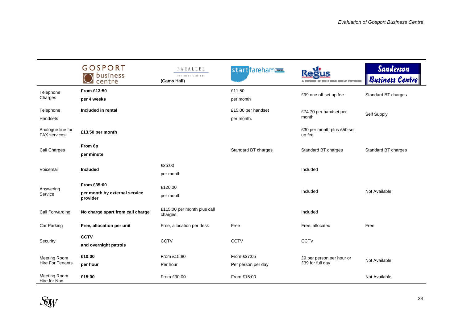|                                                | <b>GOSPORT</b><br>business<br>centre                     | PARALLEL<br>BUSINESS CENTRES<br>(Cams Hall) | start fareham                     | <b>BELLE NETAER</b>                           | <b>Sanderson</b><br>Business Centre |
|------------------------------------------------|----------------------------------------------------------|---------------------------------------------|-----------------------------------|-----------------------------------------------|-------------------------------------|
| Telephone<br>Charges                           | From £13:50<br>per 4 weeks                               |                                             | £11.50<br>per month               | £99 one off set up fee                        | Standard BT charges                 |
| Telephone<br>Handsets                          | Included in rental                                       |                                             | £15:00 per handset<br>per month.  | £74.70 per handset per<br>month               | Self Supply                         |
| Analogue line for<br><b>FAX</b> services       | £13.50 per month                                         |                                             |                                   | £30 per month plus £50 set<br>up fee          |                                     |
| Call Charges                                   | From 6p<br>per minute                                    |                                             | Standard BT charges               | Standard BT charges                           | Standard BT charges                 |
| Voicemail                                      | Included                                                 | £25:00<br>per month                         |                                   | Included                                      |                                     |
| Answering<br>Service                           | From £35:00<br>per month by external service<br>provider | £120:00<br>per month                        |                                   | Included                                      | Not Available                       |
| Call Forwarding                                | No charge apart from call charge                         | £115:00 per month plus call<br>charges.     |                                   | Included                                      |                                     |
| Car Parking                                    | Free, allocation per unit                                | Free, allocation per desk                   | Free                              | Free, allocated                               | Free                                |
| Security                                       | <b>CCTV</b><br>and overnight patrols                     | <b>CCTV</b>                                 | <b>CCTV</b>                       | <b>CCTV</b>                                   |                                     |
| <b>Meeting Room</b><br><b>Hire For Tenants</b> | £10:00<br>per hour                                       | From £15:80<br>Per hour                     | From £37:05<br>Per person per day | £9 per person per hour or<br>£39 for full day | Not Available                       |
| <b>Meeting Room</b><br>Hire for Non            | £15:00                                                   | From £30:00                                 | From £15:00                       |                                               | Not Available                       |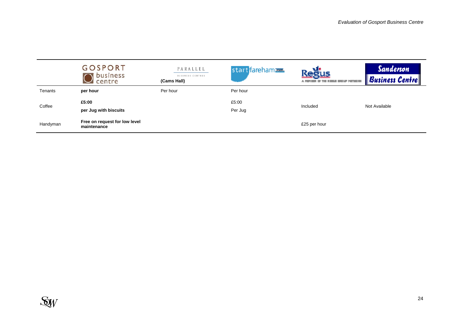|          | <b>GOSPORT</b><br>business<br>centre         | PARALLEL<br>BUSINESS CENTRES<br>(Cams Hall) | start fareham    | <b>Regus</b><br>A NEW WAY OF THE RESIDE SHOULD INTOKEN | <b>Sanderson</b><br><b>Business Centre</b> |
|----------|----------------------------------------------|---------------------------------------------|------------------|--------------------------------------------------------|--------------------------------------------|
| Tenants  | per hour                                     | Per hour                                    | Per hour         |                                                        |                                            |
| Coffee   | £5:00<br>per Jug with biscuits               |                                             | £5:00<br>Per Jug | Included                                               | Not Available                              |
| Handyman | Free on request for low level<br>maintenance |                                             |                  | £25 per hour                                           |                                            |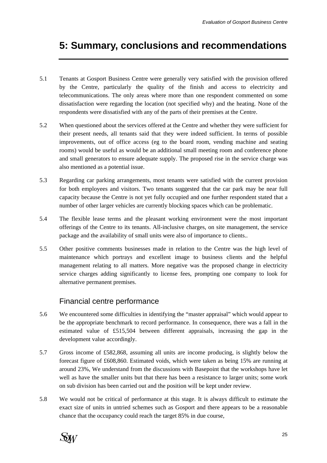# <span id="page-25-0"></span>**5: Summary, conclusions and recommendations**

- 5.1 Tenants at Gosport Business Centre were generally very satisfied with the provision offered by the Centre, particularly the quality of the finish and access to electricity and telecommunications. The only areas where more than one respondent commented on some dissatisfaction were regarding the location (not specified why) and the heating. None of the respondents were dissatisfied with any of the parts of their premises at the Centre.
- 5.2 When questioned about the services offered at the Centre and whether they were sufficient for their present needs, all tenants said that they were indeed sufficient. In terms of possible improvements, out of office access (eg to the board room, vending machine and seating rooms) would be useful as would be an additional small meeting room and conference phone and small generators to ensure adequate supply. The proposed rise in the service charge was also mentioned as a potential issue.
- 5.3 Regarding car parking arrangements, most tenants were satisfied with the current provision for both employees and visitors. Two tenants suggested that the car park may be near full capacity because the Centre is not yet fully occupied and one further respondent stated that a number of other larger vehicles are currently blocking spaces which can be problematic.
- 5.4 The flexible lease terms and the pleasant working environment were the most important offerings of the Centre to its tenants. All-inclusive charges, on site management, the service package and the availability of small units were also of importance to clients..
- 5.5 Other positive comments businesses made in relation to the Centre was the high level of maintenance which portrays and excellent image to business clients and the helpful management relating to all matters. More negative was the proposed change in electricity service charges adding significantly to license fees, prompting one company to look for alternative permanent premises.

## Financial centre performance

- 5.6 We encountered some difficulties in identifying the "master appraisal" which would appear to be the appropriate benchmark to record performance. In consequence, there was a fall in the estimated value of £515,504 between different appraisals, increasing the gap in the development value accordingly.
- 5.7 Gross income of £582,868, assuming all units are income producing, is slightly below the forecast figure of £608,860. Estimated voids, which were taken as being 15% are running at around 23%, We understand from the discussions with Basepoint that the workshops have let well as have the smaller units but that there has been a resistance to larger units; some work on sub division has been carried out and the position will be kept under review.
- 5.8 We would not be critical of performance at this stage. It is always difficult to estimate the exact size of units in untried schemes such as Gosport and there appears to be a reasonable chance that the occupancy could reach the target 85% in due course,

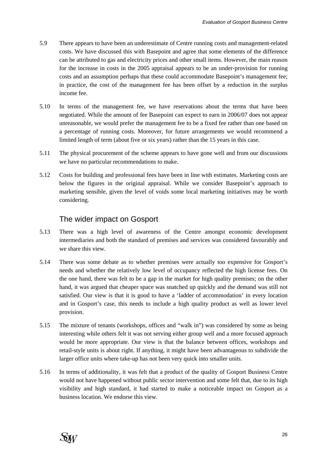- 5.9 There appears to have been an underestimate of Centre running costs and management-related costs. We have discussed this with Basepoint and agree that some elements of the difference can be attributed to gas and electricity prices and other small items. However, the main reason for the increase in costs in the 2005 appraisal appears to be an under-provision for running costs and an assumption perhaps that these could accommodate Basepoint's management fee; in practice, the cost of the management fee has been offset by a reduction in the surplus income fee.
- 5.10 In terms of the management fee, we have reservations about the terms that have been negotiated. While the amount of fee Basepoint can expect to earn in 2006/07 does not appear unreasonable, we would prefer the management fee to be a fixed fee rather than one based on a percentage of running costs. Moreover, for future arrangements we would recommend a limited length of term (about five or six years) rather than the 15 years in this case.
- 5.11 The physical procurement of the scheme appears to have gone well and from our discussions we have no particular recommendations to make.
- 5.12 Costs for building and professional fees have been in line with estimates. Marketing costs are below the figures in the original appraisal. While we consider Basepoint's approach to marketing sensible, given the level of voids some local marketing initiatives may be worth considering.

## The wider impact on Gosport

- 5.13 There was a high level of awareness of the Centre amongst economic development intermediaries and both the standard of premises and services was considered favourably and we share this view.
- 5.14 There was some debate as to whether premises were actually too expensive for Gosport's needs and whether the relatively low level of occupancy reflected the high license fees. On the one hand, there was felt to be a gap in the market for high quality premises; on the other hand, it was argued that cheaper space was snatched up quickly and the demand was still not satisfied. Our view is that it is good to have a 'ladder of accommodation' in every location and in Gosport's case, this needs to include a high quality product as well as lower level provision.
- 5.15 The mixture of tenants (workshops, offices and "walk in") was considered by some as being interesting while others felt it was not serving either group well and a more focused approach would be more appropriate. Our view is that the balance between offices, workshops and retail-style units is about right. If anything, it might have been advantageous to subdivide the larger office units where take-up has not been very quick into smaller units.
- 5.16 In terms of additionality, it was felt that a product of the quality of Gosport Business Centre would not have happened without public sector intervention and some felt that, due to its high visibility and high standard, it had started to make a noticeable impact on Gosport as a business location. We endorse this view.

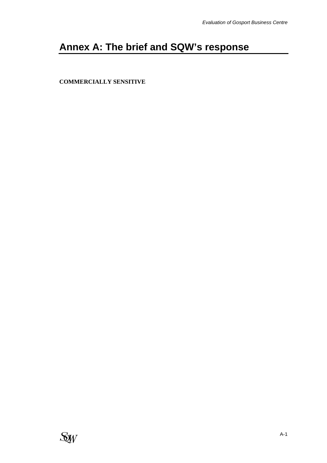# <span id="page-27-0"></span>**Annex A: The brief and SQW's response**

**[COMMERCIALLY](mailto:Commercially) SENSITIVE** 

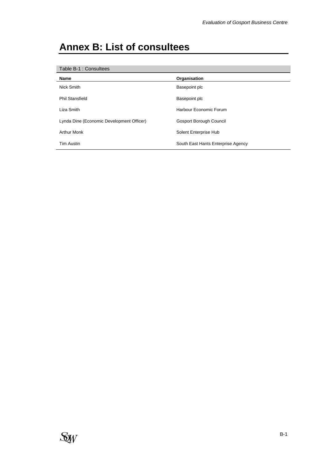# **Annex B: List of consultees**

| Table B-1 : Consultees                    |                                    |  |  |
|-------------------------------------------|------------------------------------|--|--|
| <b>Name</b>                               | Organisation                       |  |  |
| Nick Smith                                | Basepoint plc                      |  |  |
| <b>Phil Stansfield</b>                    | Basepoint plc                      |  |  |
| Liza Smith                                | Harbour Economic Forum             |  |  |
| Lynda Dine (Economic Development Officer) | Gosport Borough Council            |  |  |
| <b>Arthur Monk</b>                        | Solent Enterprise Hub              |  |  |
| <b>Tim Austin</b>                         | South East Hants Enterprise Agency |  |  |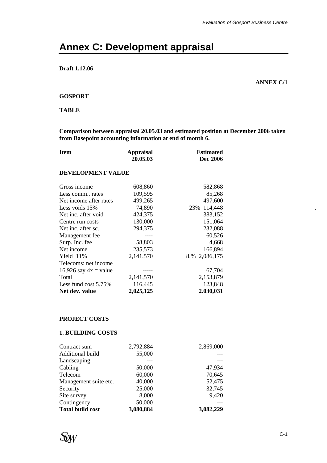# **Annex C: Development appraisal**

### **Draft 1.12.06**

**ANNEX C/1** 

#### **GOSPORT**

#### **TABLE**

**Comparison between appraisal 20.05.03 and estimated position at December 2006 taken from Basepoint accounting information at end of month 6.** 

| <b>Item</b>             | <b>Appraisal</b> | <b>Estimated</b> |
|-------------------------|------------------|------------------|
|                         | 20.05.03         | Dec 2006         |
| DEVELOPMENT VALUE       |                  |                  |
| Gross income            | 608,860          | 582,868          |
| Less comm rates         | 109,595          | 85,268           |
| Net income after rates  | 499,265          | 497,600          |
| Less voids 15%          | 74,890           | 114,448<br>23%   |
| Net inc. after void     | 424,375          | 383,152          |
| Centre run costs        | 130,000          | 151,064          |
| Net inc. after sc.      | 294,375          | 232,088          |
| Management fee          | ----             | 60,526           |
| Surp. Inc. fee          | 58,803           | 4,668            |
| Net income              | 235,573          | 166,894          |
| Yield 11%               | 2,141,570        | 8.% 2,086,175    |
| Telecoms: net income    |                  |                  |
| 16,926 say $4x =$ value |                  | 67,704           |
| Total                   | 2,141,570        | 2,153,879        |
| Less fund cost $5.75\%$ | 116,445          | 123,848          |
| Net dev. value          | 2,025,125        | 2.030,031        |

### **PROJECT COSTS**

#### **1. BUILDING COSTS**

| Contract sum            | 2,792,884 | 2,869,000 |
|-------------------------|-----------|-----------|
| Additional build        | 55,000    |           |
| Landscaping             |           |           |
| Cabling                 | 50,000    | 47,934    |
| Telecom                 | 60,000    | 70,645    |
| Management suite etc.   | 40,000    | 52,475    |
| Security                | 25,000    | 32,745    |
| Site survey             | 8,000     | 9,420     |
| Contingency             | 50,000    |           |
| <b>Total build cost</b> | 3,080,884 | 3,082,229 |